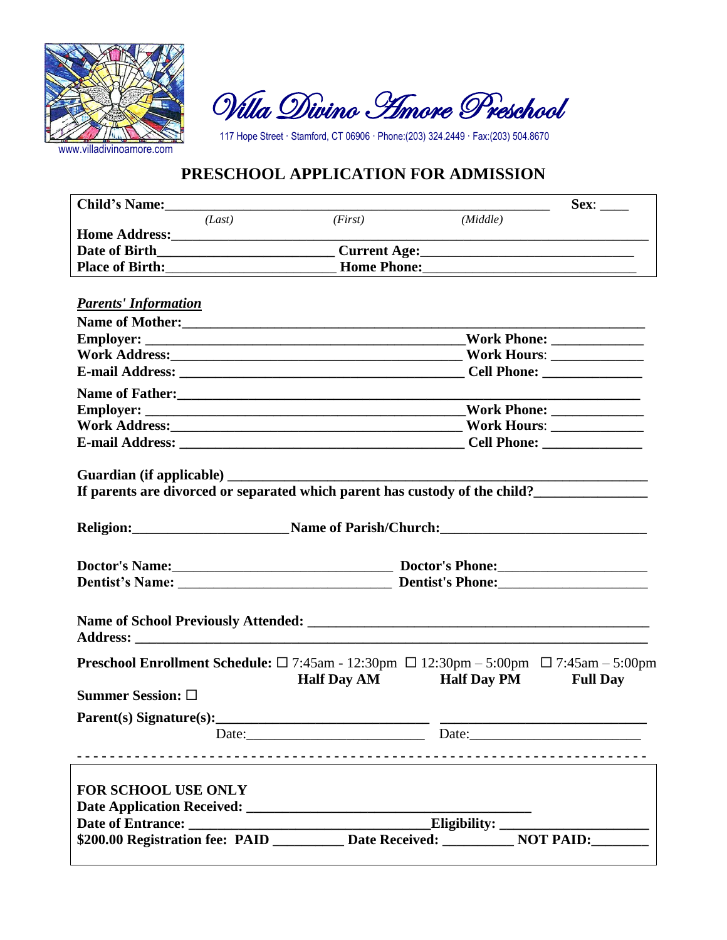

Villa Divino Amore Preschool

117 Hope Street · Stamford, CT 06906 · Phone:(203) 324.2449 · Fax:(203) 504.8670

## **PRESCHOOL APPLICATION FOR ADMISSION**

| (Middle)                                                                                                                                                   |
|------------------------------------------------------------------------------------------------------------------------------------------------------------|
|                                                                                                                                                            |
|                                                                                                                                                            |
|                                                                                                                                                            |
|                                                                                                                                                            |
|                                                                                                                                                            |
|                                                                                                                                                            |
|                                                                                                                                                            |
|                                                                                                                                                            |
|                                                                                                                                                            |
|                                                                                                                                                            |
|                                                                                                                                                            |
|                                                                                                                                                            |
|                                                                                                                                                            |
| If parents are divorced or separated which parent has custody of the child?<br>Religion: Name of Parish/Church:                                            |
| Doctor's Name: Doctor's Phone: Doctor's Phone:                                                                                                             |
|                                                                                                                                                            |
|                                                                                                                                                            |
| <b>Preschool Enrollment Schedule:</b> $\Box$ 7:45am - 12:30pm $\Box$ 12:30pm - 5:00pm $\Box$ 7:45am - 5:00pm<br>Half Day AM Half Day PM<br><b>Full Dav</b> |
|                                                                                                                                                            |
| Parent(s) Signature(s):                                                                                                                                    |
| Date:<br>Date:                                                                                                                                             |
|                                                                                                                                                            |
| \$200.00 Registration fee: PAID __________ Date Received: __________ NOT PAID: _______                                                                     |
|                                                                                                                                                            |